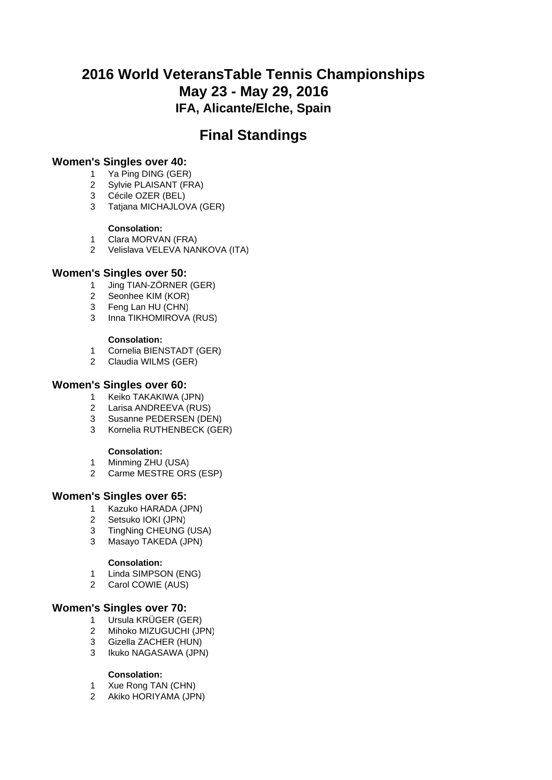## **Final Standings**

## **Women's Singles over 40:**

- 1 Ya Ping DING (GER)
- 2 Sylvie PLAISANT (FRA)
- 3 Cécile OZER (BEL)
- 3 Tatjana MICHAJLOVA (GER)

### **Consolation:**

- 1 Clara MORVAN (FRA)
- 2 Velislava VELEVA NANKOVA (ITA)

## **Women's Singles over 50:**

- 1 Jing TIAN-ZÖRNER (GER)
- 2 Seonhee KIM (KOR)
- 3 Feng Lan HU (CHN)
- 3 Inna TIKHOMIROVA (RUS)

#### **Consolation:**

- 1 Cornelia BIENSTADT (GER)
- 2 Claudia WILMS (GER)

## **Women's Singles over 60:**

- 1 Keiko TAKAKIWA (JPN)
- 2 Larisa ANDREEVA (RUS)
- 3 Susanne PEDERSEN (DEN)
- 3 Kornelia RUTHENBECK (GER)

#### **Consolation:**

- 1 Minming ZHU (USA)
- 2 Carme MESTRE ORS (ESP)

## **Women's Singles over 65:**

- 1 Kazuko HARADA (JPN)
- 2 Setsuko IOKI (JPN)
- 3 TingNing CHEUNG (USA)
- 3 Masayo TAKEDA (JPN)

#### **Consolation:**

- 1 Linda SIMPSON (ENG)
- 2 Carol COWIE (AUS)

## **Women's Singles over 70:**

- 1 Ursula KRÜGER (GER)
- 2 Mihoko MIZUGUCHI (JPN)
- 3 Gizella ZACHER (HUN)
- 3 Ikuko NAGASAWA (JPN)

- 1 Xue Rong TAN (CHN)
- 2 Akiko HORIYAMA (JPN)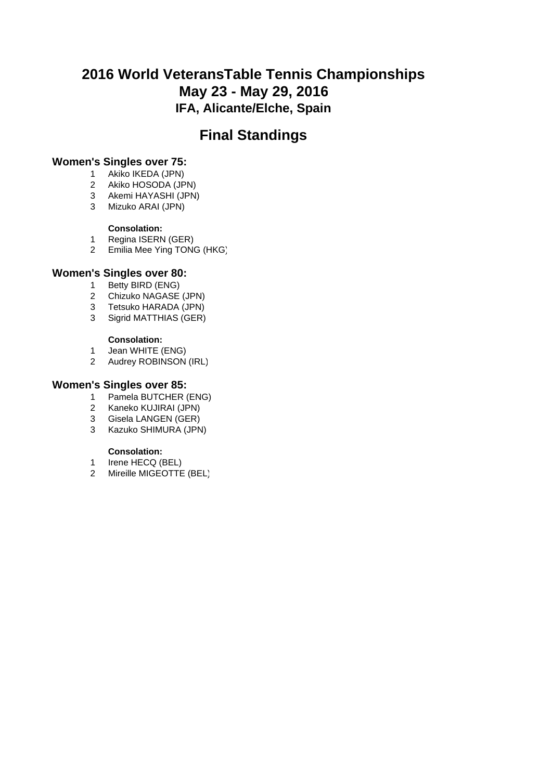## **Final Standings**

## **Women's Singles over 75:**

- 1 Akiko IKEDA (JPN)
- 2 Akiko HOSODA (JPN)
- 3 Akemi HAYASHI (JPN)
- 3 Mizuko ARAI (JPN)

#### **Consolation:**

- 1 Regina ISERN (GER)
- 2 Emilia Mee Ying TONG (HKG)

## **Women's Singles over 80:**

- 1 Betty BIRD (ENG)
- 2 Chizuko NAGASE (JPN)
- 3 Tetsuko HARADA (JPN)
- 3 Sigrid MATTHIAS (GER)

#### **Consolation:**

- 1 Jean WHITE (ENG)
- 2 Audrey ROBINSON (IRL)

## **Women's Singles over 85:**

- 1 Pamela BUTCHER (ENG)
- 2 Kaneko KUJIRAI (JPN)
- 3 Gisela LANGEN (GER)
- 3 Kazuko SHIMURA (JPN)

- 1 Irene HECQ (BEL)
- 2 Mireille MIGEOTTE (BEL)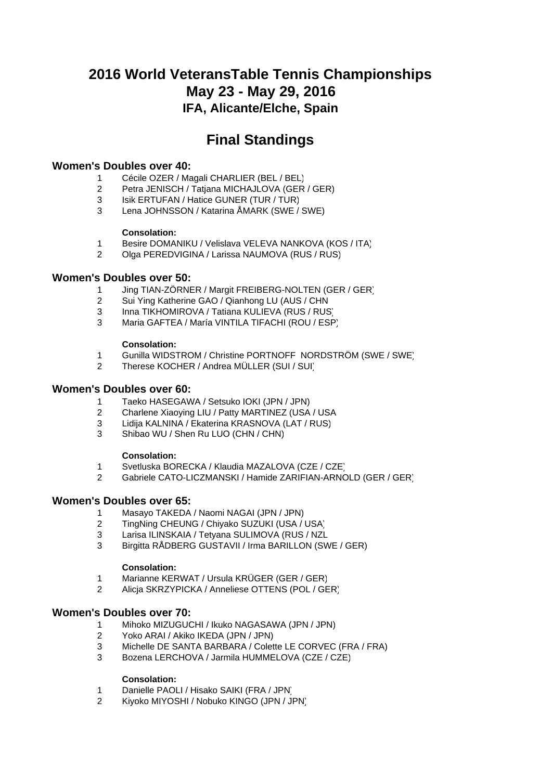# **Final Standings**

## **Women's Doubles over 40:**

- 1 Cécile OZER / Magali CHARLIER (BEL / BEL)
- 2 Petra JENISCH / Tatjana MICHAJLOVA (GER / GER)
- 3 Isik ERTUFAN / Hatice GUNER (TUR / TUR)
- 3 Lena JOHNSSON / Katarina ÅMARK (SWE / SWE)

#### **Consolation:**

- 1 Besire DOMANIKU / Velislava VELEVA NANKOVA (KOS / ITA)
- 2 Olga PEREDVIGINA / Larissa NAUMOVA (RUS / RUS)

### **Women's Doubles over 50:**

- 1 Jing TIAN-ZÖRNER / Margit FREIBERG-NOLTEN (GER / GER)
- 2 Sui Ying Katherine GAO / Qianhong LU (AUS / CHN
- 3 Inna TIKHOMIROVA / Tatiana KULIEVA (RUS / RUS)
- 3 Maria GAFTEA / María VINTILA TIFACHI (ROU / ESP)

#### **Consolation:**

- 1 Gunilla WIDSTROM / Christine PORTNOFF NORDSTRÖM (SWE / SWE)
- 2 Therese KOCHER / Andrea MÜLLER (SUI / SUI)

### **Women's Doubles over 60:**

- 1 Taeko HASEGAWA / Setsuko IOKI (JPN / JPN)
- 2 Charlene Xiaoying LIU / Patty MARTINEZ (USA / USA
- 3 Lidija KALNINA / Ekaterina KRASNOVA (LAT / RUS)
- 3 Shibao WU / Shen Ru LUO (CHN / CHN)

#### **Consolation:**

- 1 Svetluska BORECKA / Klaudia MAZALOVA (CZE / CZE)
- 2 Gabriele CATO-LICZMANSKI / Hamide ZARIFIAN-ARNOLD (GER / GER)

## **Women's Doubles over 65:**

- 1 Masayo TAKEDA / Naomi NAGAI (JPN / JPN)
- 2 TingNing CHEUNG / Chiyako SUZUKI (USA / USA)
- 3 Larisa ILINSKAIA / Tetyana SULIMOVA (RUS / NZL
- 3 Birgitta RÅDBERG GUSTAVII / Irma BARILLON (SWE / GER)

#### **Consolation:**

- 1 Marianne KERWAT / Ursula KRÜGER (GER / GER)
- 2 Alicja SKRZYPICKA / Anneliese OTTENS (POL / GER)

#### **Women's Doubles over 70:**

- 1 Mihoko MIZUGUCHI / Ikuko NAGASAWA (JPN / JPN)
- 2 Yoko ARAI / Akiko IKEDA (JPN / JPN)
- 3 Michelle DE SANTA BARBARA / Colette LE CORVEC (FRA / FRA)
- 3 Bozena LERCHOVA / Jarmila HUMMELOVA (CZE / CZE)

- 1 Danielle PAOLI / Hisako SAIKI (FRA / JPN)
- 2 Kiyoko MIYOSHI / Nobuko KINGO (JPN / JPN)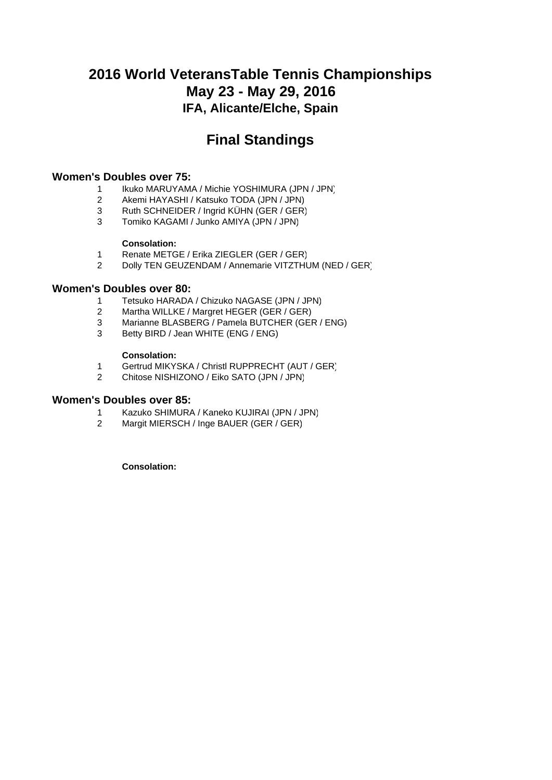# **Final Standings**

## **Women's Doubles over 75:**

- 1 Ikuko MARUYAMA / Michie YOSHIMURA (JPN / JPN)
- 2 Akemi HAYASHI / Katsuko TODA (JPN / JPN)
- 3 Ruth SCHNEIDER / Ingrid KÜHN (GER / GER)
- 3 Tomiko KAGAMI / Junko AMIYA (JPN / JPN)

#### **Consolation:**

- 1 Renate METGE / Erika ZIEGLER (GER / GER)
- 2 Dolly TEN GEUZENDAM / Annemarie VITZTHUM (NED / GER)

## **Women's Doubles over 80:**

- 1 Tetsuko HARADA / Chizuko NAGASE (JPN / JPN)
- 2 Martha WILLKE / Margret HEGER (GER / GER)
- 3 Marianne BLASBERG / Pamela BUTCHER (GER / ENG)
- 3 Betty BIRD / Jean WHITE (ENG / ENG)

#### **Consolation:**

- 1 Gertrud MIKYSKA / Christl RUPPRECHT (AUT / GER)
- 2 Chitose NISHIZONO / Eiko SATO (JPN / JPN)

## **Women's Doubles over 85:**

- 1 Kazuko SHIMURA / Kaneko KUJIRAI (JPN / JPN)
- 2 Margit MIERSCH / Inge BAUER (GER / GER)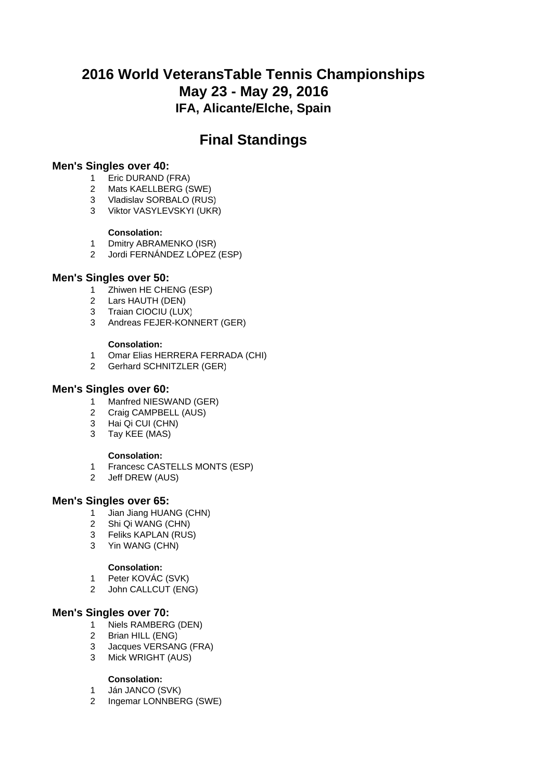# **Final Standings**

## **Men's Singles over 40:**

- 1 Eric DURAND (FRA)
- 2 Mats KAELLBERG (SWE)
- 3 Vladislav SORBALO (RUS)
- 3 Viktor VASYLEVSKYI (UKR)

### **Consolation:**

- 1 Dmitry ABRAMENKO (ISR)
- 2 Jordi FERNÁNDEZ LÓPEZ (ESP)

## **Men's Singles over 50:**

- 1 Zhiwen HE CHENG (ESP)
- 2 Lars HAUTH (DEN)
- 3 Traian CIOCIU (LUX)
- 3 Andreas FEJER-KONNERT (GER)

### **Consolation:**

- 1 Omar Elias HERRERA FERRADA (CHI)
- 2 Gerhard SCHNITZLER (GER)

## **Men's Singles over 60:**

- 1 Manfred NIESWAND (GER)
- 2 Craig CAMPBELL (AUS)
- 3 Hai Qi CUI (CHN)
- 3 Tay KEE (MAS)

## **Consolation:**

- 1 Francesc CASTELLS MONTS (ESP)
- 2 Jeff DREW (AUS)

## **Men's Singles over 65:**

- 1 Jian Jiang HUANG (CHN)
- 2 Shi Qi WANG (CHN)
- 3 Feliks KAPLAN (RUS)
- 3 Yin WANG (CHN)

#### **Consolation:**

- 1 Peter KOVÁC (SVK)
- 2 John CALLCUT (ENG)

## **Men's Singles over 70:**

- 1 Niels RAMBERG (DEN)
- 2 Brian HILL (ENG)
- 3 Jacques VERSANG (FRA)
- 3 Mick WRIGHT (AUS)

- 1 Ján JANCO (SVK)
- 2 Ingemar LONNBERG (SWE)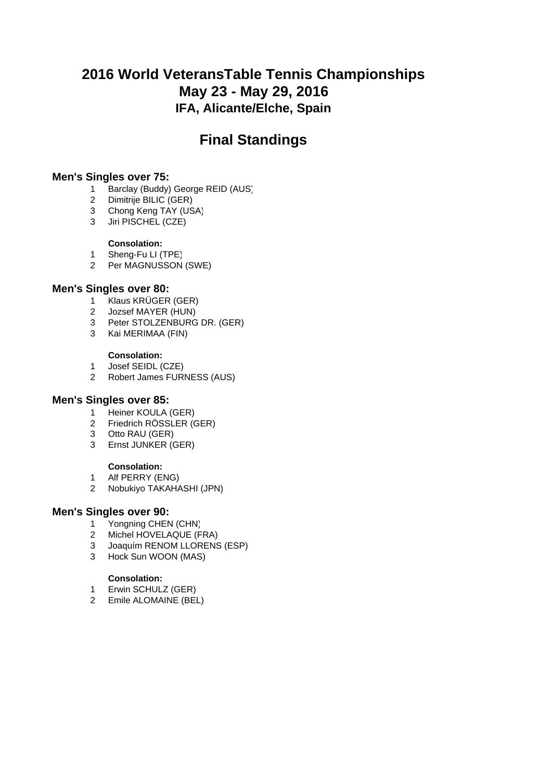# **Final Standings**

## **Men's Singles over 75:**

- 1 Barclay (Buddy) George REID (AUS)
- 2 Dimitrije BILIC (GER)
- 3 Chong Keng TAY (USA)
- 3 Jiri PISCHEL (CZE)

## **Consolation:**

- 1 Sheng-Fu LI (TPE)
- 2 Per MAGNUSSON (SWE)

## **Men's Singles over 80:**

- 1 Klaus KRÜGER (GER)
- 2 Jozsef MAYER (HUN)
- 3 Peter STOLZENBURG DR. (GER)
- 3 Kai MERIMAA (FIN)

#### **Consolation:**

- 1 Josef SEIDL (CZE)
- 2 Robert James FURNESS (AUS)

## **Men's Singles over 85:**

- 1 Heiner KOULA (GER)
- 2 Friedrich RÖSSLER (GER)
- 3 Otto RAU (GER)
- 3 Ernst JUNKER (GER)

#### **Consolation:**

- 1 Alf PERRY (ENG)
- 2 Nobukiyo TAKAHASHI (JPN)

## **Men's Singles over 90:**

- 1 Yongning CHEN (CHN)<br>2 Michel HOVELAQUE (F
- Michel HOVELAQUE (FRA)
- 3 Joaquím RENOM LLORENS (ESP)
- 3 Hock Sun WOON (MAS)

- 1 Erwin SCHULZ (GER)
- 2 Emile ALOMAINE (BEL)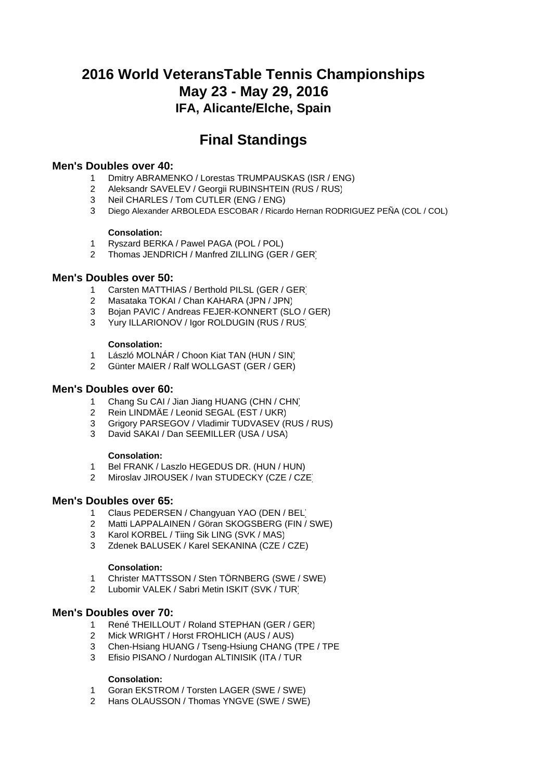# **Final Standings**

### **Men's Doubles over 40:**

- 1 Dmitry ABRAMENKO / Lorestas TRUMPAUSKAS (ISR / ENG)
- 2 Aleksandr SAVELEV / Georgii RUBINSHTEIN (RUS / RUS)
- 3 Neil CHARLES / Tom CUTLER (ENG / ENG)
- 3 Diego Alexander ARBOLEDA ESCOBAR / Ricardo Hernan RODRIGUEZ PEÑA (COL / COL)

#### **Consolation:**

- 1 Ryszard BERKA / Pawel PAGA (POL / POL)
- 2 Thomas JENDRICH / Manfred ZILLING (GER / GER)

### **Men's Doubles over 50:**

- 1 Carsten MATTHIAS / Berthold PILSL (GER / GER)
- 2 Masataka TOKAI / Chan KAHARA (JPN / JPN)
- 3 Bojan PAVIC / Andreas FEJER-KONNERT (SLO / GER)
- 3 Yury ILLARIONOV / Igor ROLDUGIN (RUS / RUS)

#### **Consolation:**

- 1 László MOLNÁR / Choon Kiat TAN (HUN / SIN)
- 2 Günter MAIER / Ralf WOLLGAST (GER / GER)

### **Men's Doubles over 60:**

- 1 Chang Su CAI / Jian Jiang HUANG (CHN / CHN)
- 2 Rein LINDMÄE / Leonid SEGAL (EST / UKR)
- 3 Grigory PARSEGOV / Vladimir TUDVASEV (RUS / RUS)
- 3 David SAKAI / Dan SEEMILLER (USA / USA)

#### **Consolation:**

- 1 Bel FRANK / Laszlo HEGEDUS DR. (HUN / HUN)
- 2 Miroslav JIROUSEK / Ivan STUDECKY (CZE / CZE)

### **Men's Doubles over 65:**

- 1 Claus PEDERSEN / Changyuan YAO (DEN / BEL)
- 2 Matti LAPPALAINEN / Göran SKOGSBERG (FIN / SWE)
- 3 Karol KORBEL / Tiing Sik LING (SVK / MAS)
- 3 Zdenek BALUSEK / Karel SEKANINA (CZE / CZE)

#### **Consolation:**

- 1 Christer MATTSSON / Sten TÖRNBERG (SWE / SWE)
- 2 Lubomir VALEK / Sabri Metin ISKIT (SVK / TUR)

## **Men's Doubles over 70:**

- 1 René THEILLOUT / Roland STEPHAN (GER / GER)
- 2 Mick WRIGHT / Horst FROHLICH (AUS / AUS)
- 3 Chen-Hsiang HUANG / Tseng-Hsiung CHANG (TPE / TPE
- 3 Efisio PISANO / Nurdogan ALTINISIK (ITA / TUR

- 1 Goran EKSTROM / Torsten LAGER (SWE / SWE)
- 2 Hans OLAUSSON / Thomas YNGVE (SWE / SWE)